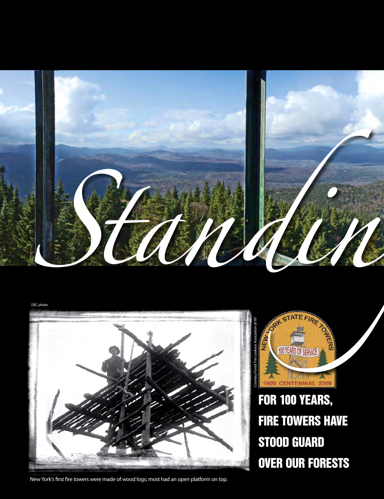

DEC photo



New York's frst fre towers were made of wood logs; most had an open platform on top.



 FOR 100 YEARS, FIRE TOWERS HAVE STOOD GUARD OVER OUR FORESTS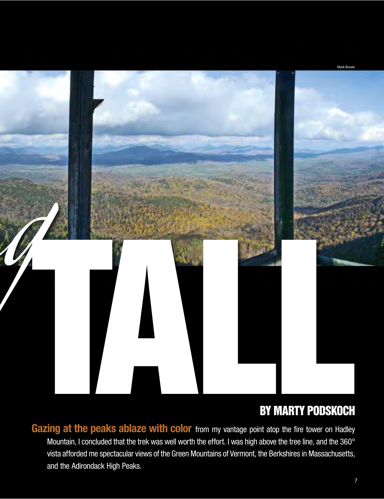

## BY MARTY PODSKOCH

Gazing at the peaks ablaze with color from my vantage point atop the fire tower on Hadley Mountain, I concluded that the trek was well worth the effort. I was high above the tree line, and the 360° vista afforded me spectacular views of the Green Mountains of Vermont, the Berkshires in Massachusetts, and the Adirondack High Peaks.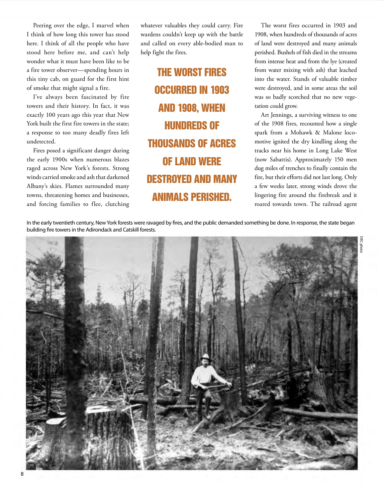stood here before me, and can't help Peering over the edge, I marvel when I think of how long this tower has stood here. I think of all the people who have wonder what it must have been like to be a fire tower observer—spending hours in this tiny cab, on guard for the first hint of smoke that might signal a fire.

 I've always been fascinated by fire towers and their history. In fact, it was exactly 100 years ago this year that New York built the first fire towers in the state; a response to too many deadly fires left undetected.

 the early 1900s when numerous blazes winds carried smoke and ash that darkened Albany's skies. Flames surrounded many towns, threatening homes and businesses, and forcing families to flee, clutching Fires posed a significant danger during raged across New York's forests. Strong

 whatever valuables they could carry. Fire wardens couldn't keep up with the battle and called on every able-bodied man to help fight the fires.

**HUNDREDS OF** THE WORST FIRES OCCURRED IN 1903 AND 1908, WHEN THOUSANDS OF ACRES OF LAND WERE DESTROYED AND MANY ANIMALS PERISHED.

 The worst fires occurred in 1903 and 1908, when hundreds of thousands of acres of land were destroyed and many animals perished. Bushels of fish died in the streams from water mixing with ash) that leached into the water. Stands of valuable timber were destroyed, and in some areas the soil from intense heat and from the lye (created was so badly scorched that no new vegetation could grow.

 Art Jennings, a surviving witness to one of the 1908 fires, recounted how a single motive ignited the dry kindling along the (now Sabattis). Approximately 150 men dug miles of trenches to finally contain the fire, but their efforts did not last long. Only a few weeks later, strong winds drove the lingering fire around the firebreak and it roared towards town. The railroad agent spark from a Mohawk & Malone locotracks near his home in Long Lake West

DEC photo

 In the early twentieth century, New York forests were ravaged by fres, and the public demanded something be done. In response, the state began building fre towers in the Adirondack and Catskill forests.



8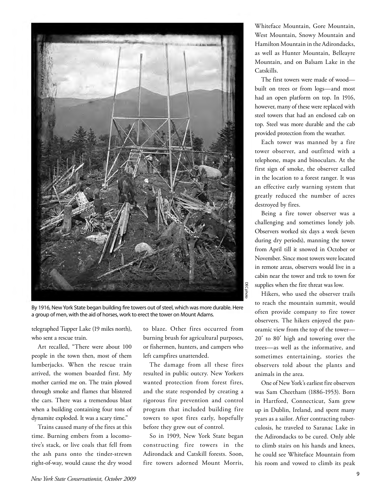

By 1916, New York State began building fre towers out of steel, which was more durable. Here a group of men, with the aid of horses, work to erect the tower on Mount Adams.

telegraphed Tupper Lake (19 miles north), who sent a rescue train.

 Art recalled, "There were about 100 people in the town then, most of them through smoke and flames that blistered when a building containing four tons of lumberjacks. When the rescue train arrived, the women boarded first. My mother carried me on. The train plowed the cars. There was a tremendous blast dynamite exploded. It was a scary time."

 tive's stack, or live coals that fell from the ash pans onto the tinder-strewn Trains caused many of the fires at this time. Burning embers from a locomoright-of-way, would cause the dry wood

 to blaze. Other fires occurred from burning brush for agricultural purposes, or fishermen, hunters, and campers who left campfires unattended.

 The damage from all these fires resulted in public outcry. New Yorkers wanted protection from forest fires, rigorous fire prevention and control program that included building fire before they grew out of control. and the state responded by creating a towers to spot fires early, hopefully

 So in 1909, New York State began constructing fire towers in the Adirondack and Catskill forests. Soon, fire towers adorned Mount Morris,

 Whiteface Mountain, Gore Mountain, as well as Hunter Mountain, Belleayre Mountain, and on Balsam Lake in the West Mountain, Snowy Mountain and Hamilton Mountain in the Adirondacks, Catskills.

 built on trees or from logs—and most had an open platform on top. In 1916, however, many of these were replaced with steel towers that had an enclosed cab on top. Steel was more durable and the cab The first towers were made of wood provided protection from the weather.

 Each tower was manned by a fire tower observer, and outfitted with a first sign of smoke, the observer called an effective early warning system that greatly reduced the number of acres telephone, maps and binoculars. At the in the location to a forest ranger. It was destroyed by fires.

 Being a fire tower observer was a challenging and sometimes lonely job. Observers worked six days a week (seven from April till it snowed in October or November. Since most towers were located in remote areas, observers would live in a cabin near the tower and trek to town for during dry periods), manning the tower supplies when the fire threat was low.

 Hikers, who used the observer trails to reach the mountain summit, would often provide company to fire tower 20**΄** to 80**΄** high and towering over the trees—as well as the informative, and sometimes entertaining, stories the observers told about the plants and observers. The hikers enjoyed the panoramic view from the top of the tower animals in the area.

 was Sam Cheetham (1886-1953). Born in Hartford, Connecticut, Sam grew culosis, he traveled to Saranac Lake in his room and vowed to climb its peak One of New York's earliest fire observers up in Dublin, Ireland, and spent many years as a sailor. After contracting tuberthe Adirondacks to be cured. Only able to climb stairs on his hands and knees, he could see Whiteface Mountain from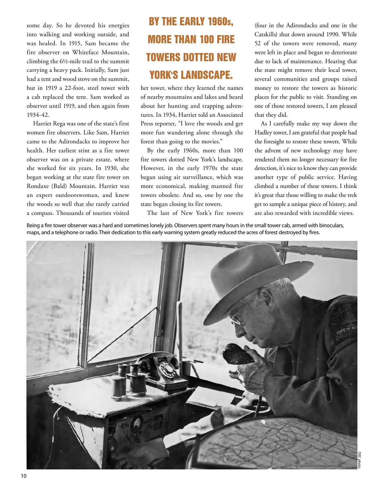some day. So he devoted his energies into walking and working outside, and was healed. In 1915, Sam became the fire observer on Whiteface Mountain, but in 1919 a 22-foot, steel tower with a cab replaced the tent. Sam worked as climbing the 6½-mile trail to the summit carrying a heavy pack. Initially, Sam just had a tent and wood stove on the summit, observer until 1919, and then again from 1934-42.

 health. Her earliest stint as a fire tower observer was on a private estate, where she worked for six years. In 1930, she Rondaxe (Bald) Mountain. Harriet was an expert outdoorswoman, and knew Harriet Rega was one of the state's first women fire observers. Like Sam, Harriet came to the Adirondacks to improve her began working at the state fire tower on the woods so well that she rarely carried a compass. Thousands of tourists visited

## BY THE EARLY 1960s, MORE THAN 100 FIRE TOWERS DOTTED NEW YORK'S LANDSCAPE.

 more fun wandering alone through the her tower, where they learned the names of nearby mountains and lakes and heard about her hunting and trapping adventures. In 1934, Harriet told an Associated Press reporter, "I love the woods and get forest than going to the movies."

 By the early 1960s, more than 100 fire towers dotted New York's landscape. more economical, making manned fire However, in the early 1970s the state began using air surveillance, which was towers obsolete. And so, one by one the state began closing its fire towers.

 (four in the Adirondacks and one in the 52 of the towers were removed, many were left in place and began to deteriorate due to lack of maintenance. Hearing that the state might remove their local tower, money to restore the towers as historic places for the public to visit. Standing on Catskills) shut down around 1990. While several communities and groups raised one of those restored towers, I am pleased that they did.

 As I carefully make my way down the the foresight to restore these towers. While the advent of new technology may have rendered them no longer necessary for fire detection, it's nice to know they can provide climbed a number of these towers, I think it's great that those willing to make the trek get to sample a unique piece of history, and Hadley tower, I am grateful that people had another type of public service. Having are also rewarded with incredible views.

The last of New York's fire towers

Being a fre tower observer was a hard and sometimes lonely job. Observers spent many hours in the small tower cab, armed with binoculars, maps, and a telephone or radio. Their dedication to this early warning system greatly reduced the acres of forest destroyed by fres.